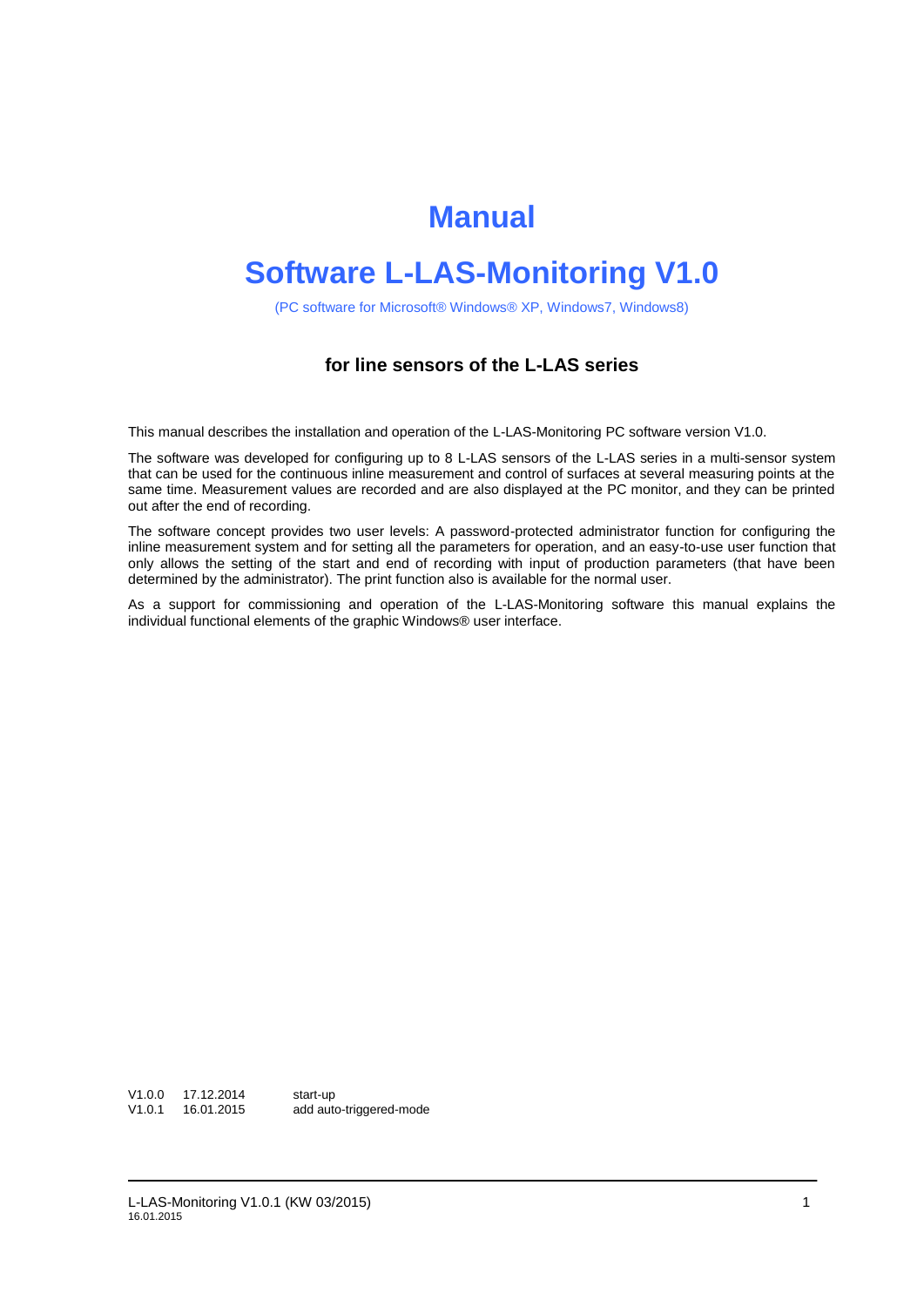# **Manual**

# **Software L-LAS-Monitoring V1.0**

(PC software for Microsoft® Windows® XP, Windows7, Windows8)

### **for line sensors of the L-LAS series**

This manual describes the installation and operation of the L-LAS-Monitoring PC software version V1.0.

The software was developed for configuring up to 8 L-LAS sensors of the L-LAS series in a multi-sensor system that can be used for the continuous inline measurement and control of surfaces at several measuring points at the same time. Measurement values are recorded and are also displayed at the PC monitor, and they can be printed out after the end of recording.

The software concept provides two user levels: A password-protected administrator function for configuring the inline measurement system and for setting all the parameters for operation, and an easy-to-use user function that only allows the setting of the start and end of recording with input of production parameters (that have been determined by the administrator). The print function also is available for the normal user.

As a support for commissioning and operation of the L-LAS-Monitoring software this manual explains the individual functional elements of the graphic Windows® user interface.

V1.0.0 17.12.2014 start-up<br>V1.0.1 16.01.2015 add auto add auto-triggered-mode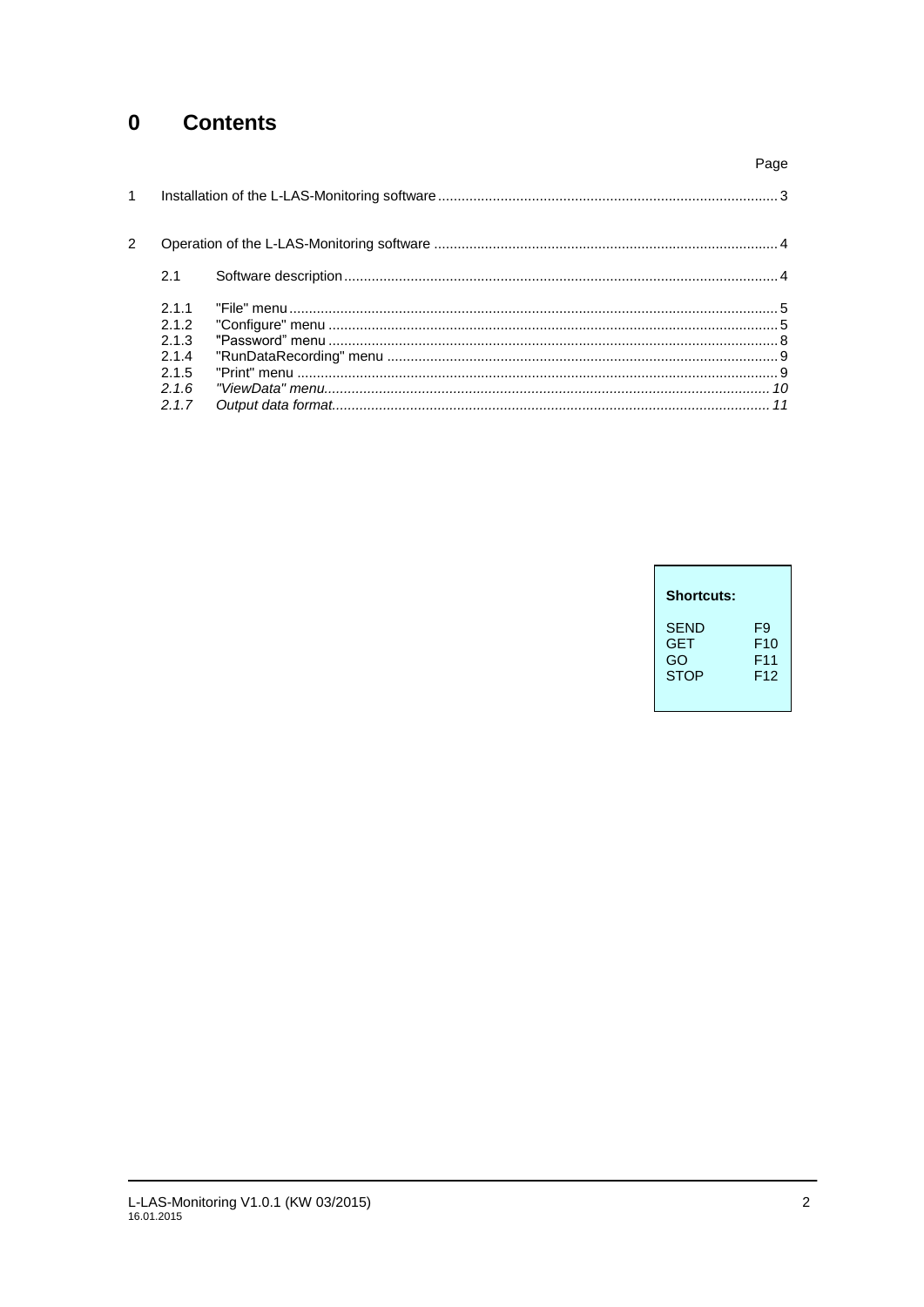#### $\mathbf 0$ **Contents**

|              |                                       |                                                                                                                                                                                                                 | Page |
|--------------|---------------------------------------|-----------------------------------------------------------------------------------------------------------------------------------------------------------------------------------------------------------------|------|
| $\mathbf{1}$ |                                       |                                                                                                                                                                                                                 |      |
| 2            |                                       |                                                                                                                                                                                                                 |      |
|              | 2.1                                   |                                                                                                                                                                                                                 |      |
|              | 211<br>2.1.2<br>2.1.3<br>2.1.4<br>215 | $\begin{array}{l} \text{``File'' menu} \dots 5 \\ \text{``Configure'' menu} \dots 5 \\ \text{``Password'' menu} \dots 5 \\ \text{``Password'' menu} \dots 5 \\ \text{``Password'' menu} \dots 5 \\ \end{array}$ |      |
|              | 2.1.6<br>2.1.7                        |                                                                                                                                                                                                                 |      |
|              |                                       |                                                                                                                                                                                                                 |      |

| <b>Shortcuts:</b> |     |
|-------------------|-----|
| <b>SEND</b>       | F9  |
| <b>GET</b>        | F10 |
| GO                | F11 |
| <b>STOP</b>       | F12 |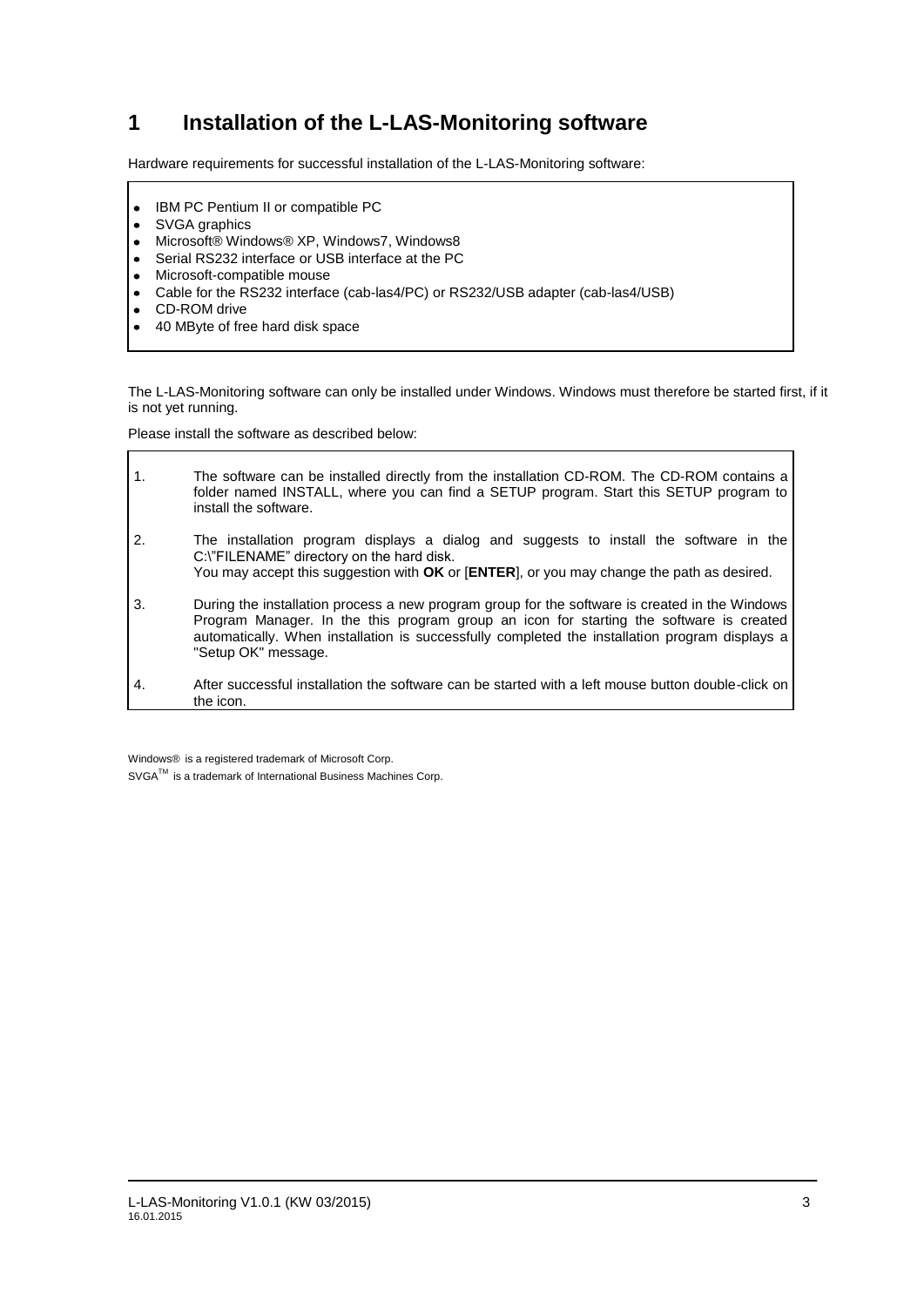## **1 Installation of the L-LAS-Monitoring software**

Hardware requirements for successful installation of the L-LAS-Monitoring software:

- IBM PC Pentium II or compatible PC  $\bullet$
- SVGA graphics  $\bullet$
- Microsoft® Windows® XP, Windows7, Windows8  $\bullet$
- Serial RS232 interface or USB interface at the PC  $\bullet$
- Microsoft-compatible mouse  $\bullet$
- Cable for the RS232 interface (cab-las4/PC) or RS232/USB adapter (cab-las4/USB)  $\bullet$
- $\bullet$ CD-ROM drive

 $\Gamma$ 

40 MByte of free hard disk space

The L-LAS-Monitoring software can only be installed under Windows. Windows must therefore be started first, if it is not yet running.

Please install the software as described below:

| $\mathbf 1$ .    | The software can be installed directly from the installation CD-ROM. The CD-ROM contains a<br>folder named INSTALL, where you can find a SETUP program. Start this SETUP program to<br>install the software.                                                                                                       |
|------------------|--------------------------------------------------------------------------------------------------------------------------------------------------------------------------------------------------------------------------------------------------------------------------------------------------------------------|
| $\overline{2}$ . | The installation program displays a dialog and suggests to install the software in the<br>C:\"FILENAME" directory on the hard disk.<br>You may accept this suggestion with OK or [ENTER], or you may change the path as desired.                                                                                   |
| 3.               | During the installation process a new program group for the software is created in the Windows<br>Program Manager. In the this program group an icon for starting the software is created<br>automatically. When installation is successfully completed the installation program displays a<br>"Setup OK" message. |
| 4.               | After successful installation the software can be started with a left mouse button double-click on<br>the icon.                                                                                                                                                                                                    |

Windows® is a registered trademark of Microsoft Corp. SVGA<sup>™</sup> is a trademark of International Business Machines Corp.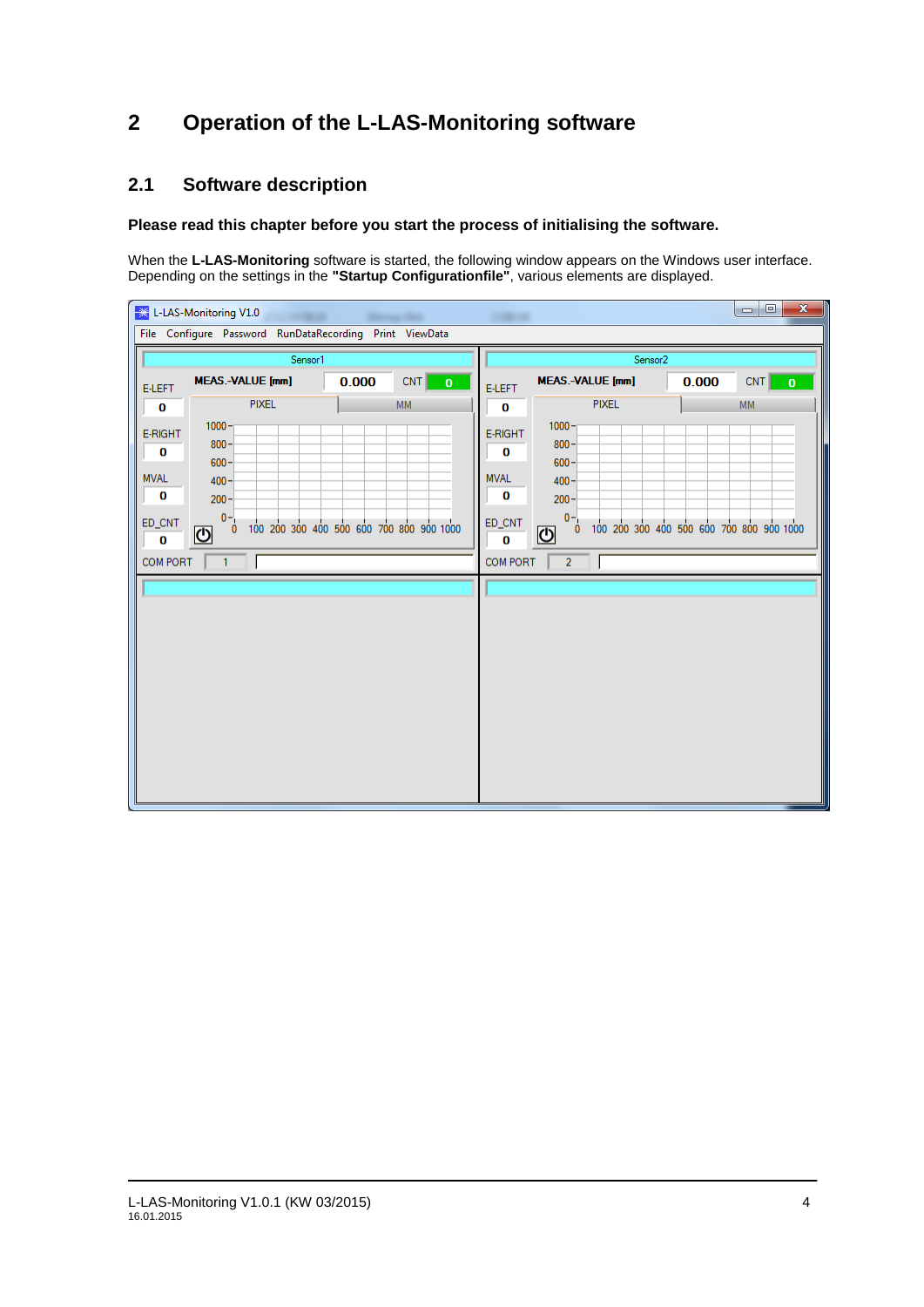## **2 Operation of the L-LAS-Monitoring software**

## **2.1 Software description**

#### **Please read this chapter before you start the process of initialising the software.**

When the **L-LAS-Monitoring** software is started, the following window appears on the Windows user interface. Depending on the settings in the **"Startup Configurationfile"**, various elements are displayed.

|                                                               | $\mathbf{x}$<br>$\Box$<br><b>Exag</b> L-LAS-Monitoring V1.0<br>-                                                               |       |                     |                                                           |                                                                                           |       |                                                                          |  |  |  |  |
|---------------------------------------------------------------|--------------------------------------------------------------------------------------------------------------------------------|-------|---------------------|-----------------------------------------------------------|-------------------------------------------------------------------------------------------|-------|--------------------------------------------------------------------------|--|--|--|--|
|                                                               | File Configure Password RunDataRecording Print ViewData                                                                        |       |                     |                                                           |                                                                                           |       |                                                                          |  |  |  |  |
| Sensor1                                                       |                                                                                                                                |       |                     |                                                           | Sensor <sub>2</sub>                                                                       |       | CNT<br>$\bf{0}$<br><b>MM</b><br>100 200 300 400 500 600 700 800 900 1000 |  |  |  |  |
| <b>E-LEFT</b>                                                 | <b>MEAS.-VALUE</b> [mm]                                                                                                        | 0.000 | CNT<br>$\mathbf{0}$ | <b>E-LEFT</b>                                             | <b>MEAS.-VALUE [mm]</b>                                                                   | 0.000 |                                                                          |  |  |  |  |
| 0                                                             | <b>PIXEL</b>                                                                                                                   |       | <b>MM</b>           | 0                                                         | <b>PIXEL</b>                                                                              |       |                                                                          |  |  |  |  |
| E-RIGHT<br>O<br><b>MVAL</b><br>$\bf{0}$<br>ED_CNT<br>$\bf{0}$ | $1000 -$<br>$800 -$<br>$600 -$<br>$400 -$<br>$200 -$<br>$0 -$<br>100 200 300 400 500 600 700 800 900 1000<br>$\mathbf{0}$<br>O |       |                     | E-RIGHT<br>O<br><b>MVAL</b><br>0<br>$ED\_CNT$<br>$\bf{0}$ | $1000 -$<br>$800 -$<br>$600 -$<br>$400 -$<br>$200 -$<br>$0 -$<br>$\mathbf{0}$<br><u>ଏ</u> |       |                                                                          |  |  |  |  |
| COM PORT                                                      | $\mathbf{1}$                                                                                                                   |       |                     | COM PORT                                                  | $\overline{2}$                                                                            |       |                                                                          |  |  |  |  |
|                                                               |                                                                                                                                |       |                     |                                                           |                                                                                           |       |                                                                          |  |  |  |  |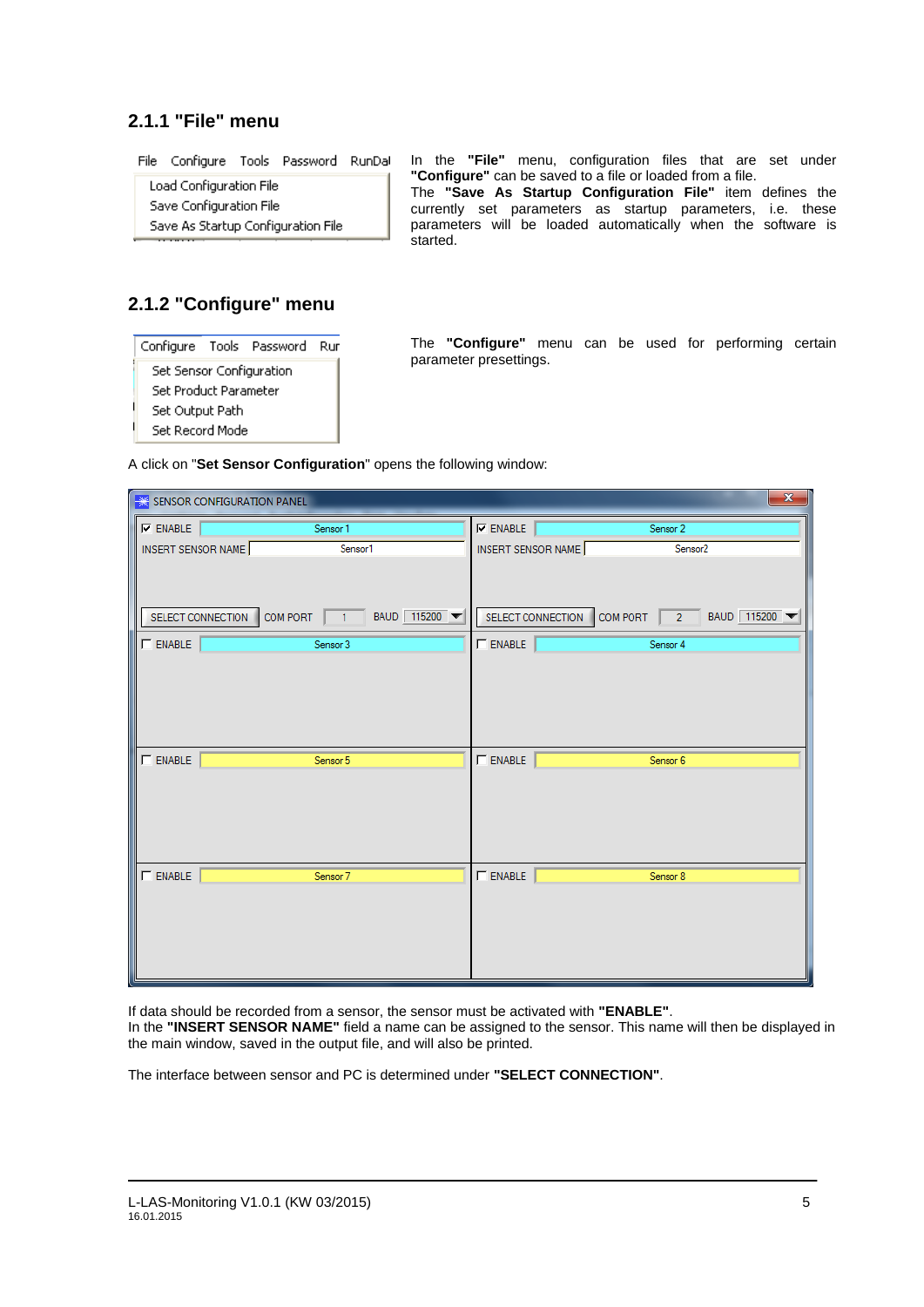### **2.1.1 "File" menu**

File Configure Tools Password RunDal

Load Configuration File Save Configuration File Save As Startup Configuration File In the **"File"** menu, configuration files that are set under **"Configure"** can be saved to a file or loaded from a file. The **"Save As Startup Configuration File"** item defines the currently set parameters as startup parameters, i.e. these parameters will be loaded automatically when the software is started.

## **2.1.2 "Configure" menu**

| Configure Tools Password        |  |  | Rur |  |  |  |  |  |
|---------------------------------|--|--|-----|--|--|--|--|--|
| <b>Set Sensor Configuration</b> |  |  |     |  |  |  |  |  |
| Set Product Parameter           |  |  |     |  |  |  |  |  |
| Set Output Path                 |  |  |     |  |  |  |  |  |
| Set Record Mode                 |  |  |     |  |  |  |  |  |

The **"Configure"** menu can be used for performing certain parameter presettings.

A click on "**Set Sensor Configuration**" opens the following window:

| $\mathbf{x}$<br>SENSOR CONFIGURATION PANEL |                                                                        |                    |  |                                          |  |  |
|--------------------------------------------|------------------------------------------------------------------------|--------------------|--|------------------------------------------|--|--|
| $\nabla$ ENABLE                            | Sensor 1                                                               | $\nabla$ ENABLE    |  | Sensor 2                                 |  |  |
| INSERT SENSOR NAME                         | Sensor1                                                                | INSERT SENSOR NAME |  | Sensor <sub>2</sub>                      |  |  |
|                                            | SELECT CONNECTION COMPORT $\boxed{1}$ BAUD 115200 $\blacktriangledown$ |                    |  | SELECT CONNECTION COM PORT 2 BAUD 115200 |  |  |
| $\Gamma$ ENABLE                            | Sensor 3                                                               | $\Box$ ENABLE      |  | Sensor 4                                 |  |  |
|                                            |                                                                        |                    |  |                                          |  |  |
| $\Gamma$ ENABLE                            | Sensor 5                                                               | $\Box$ ENABLE      |  | Sensor 6                                 |  |  |
|                                            |                                                                        |                    |  |                                          |  |  |
| $\Gamma$ ENABLE                            | Sensor 7                                                               | $\Gamma$ ENABLE    |  | Sensor 8                                 |  |  |
|                                            |                                                                        |                    |  |                                          |  |  |

If data should be recorded from a sensor, the sensor must be activated with **"ENABLE"**.

In the **"INSERT SENSOR NAME"** field a name can be assigned to the sensor. This name will then be displayed in the main window, saved in the output file, and will also be printed.

The interface between sensor and PC is determined under **"SELECT CONNECTION"**.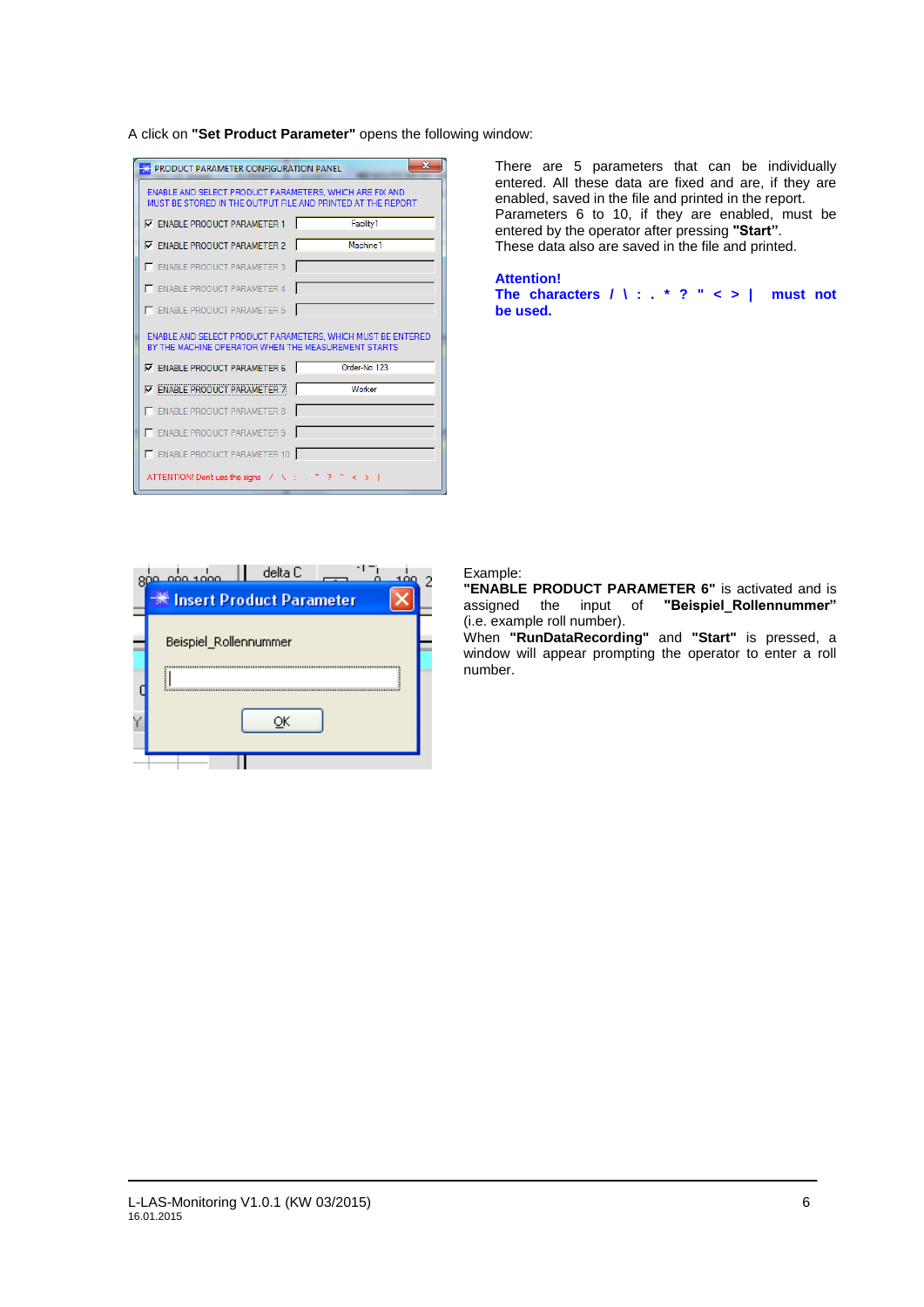A click on **"Set Product Parameter"** opens the following window:

| <b>PRODUCT PARAMETER CONFIGURATION PANEL</b>                                                                           | $\mathbf x$          |  |  |  |  |  |  |  |
|------------------------------------------------------------------------------------------------------------------------|----------------------|--|--|--|--|--|--|--|
| ENABLE AND SELECT PRODUCT PARAMETERS. WHICH ARE FIX AND<br>MUST BE STORED IN THE OUTPUT FILE AND PRINTED AT THE REPORT |                      |  |  |  |  |  |  |  |
| <b>V</b> ENABLE PRODUCT PARAMETER 1                                                                                    | Facility1            |  |  |  |  |  |  |  |
| <b>V</b> ENABLE PRODUCT PARAMETER 2                                                                                    | Machine <sub>1</sub> |  |  |  |  |  |  |  |
| E ENABLE PRODUCT PARAMETER 3                                                                                           |                      |  |  |  |  |  |  |  |
| E ENABLE PRODUCT PARAMETER 4                                                                                           |                      |  |  |  |  |  |  |  |
|                                                                                                                        |                      |  |  |  |  |  |  |  |
| E ENABLE PRODUCT PARAMETER 5                                                                                           |                      |  |  |  |  |  |  |  |
| ENABLE AND SELECT PRODUCT PARAMETERS. WHICH MUST BE ENTERED<br>BY THE MACHINE OPERATOR WHEN THE MEASUREMENT STARTS     |                      |  |  |  |  |  |  |  |
| <b>V</b> ENABLE PRODUCT PARAMETER 6                                                                                    | Order-No. 123        |  |  |  |  |  |  |  |
| <b>V ENABLE PRODUCT PARAMETER 7</b>                                                                                    | Worker               |  |  |  |  |  |  |  |
| E ENABLE PRODUCT PARAMETER 8                                                                                           |                      |  |  |  |  |  |  |  |
| ENABLE PRODUCT PARAMETER 9                                                                                             |                      |  |  |  |  |  |  |  |
| ENABLE PRODUCT PARAMETER 10                                                                                            |                      |  |  |  |  |  |  |  |

There are 5 parameters that can be individually entered. All these data are fixed and are, if they are enabled, saved in the file and printed in the report. Parameters 6 to 10, if they are enabled, must be entered by the operator after pressing **"Start"**. These data also are saved in the file and printed.

**Attention! The characters / \ : . \* ? " < > | must not be used.**



#### Example:

**"ENABLE PRODUCT PARAMETER 6"** is activated and is assigned the input of **"Beispiel\_Rollennummer"** (i.e. example roll number).

When **"RunDataRecording"** and **"Start"** is pressed, a window will appear prompting the operator to enter a roll number.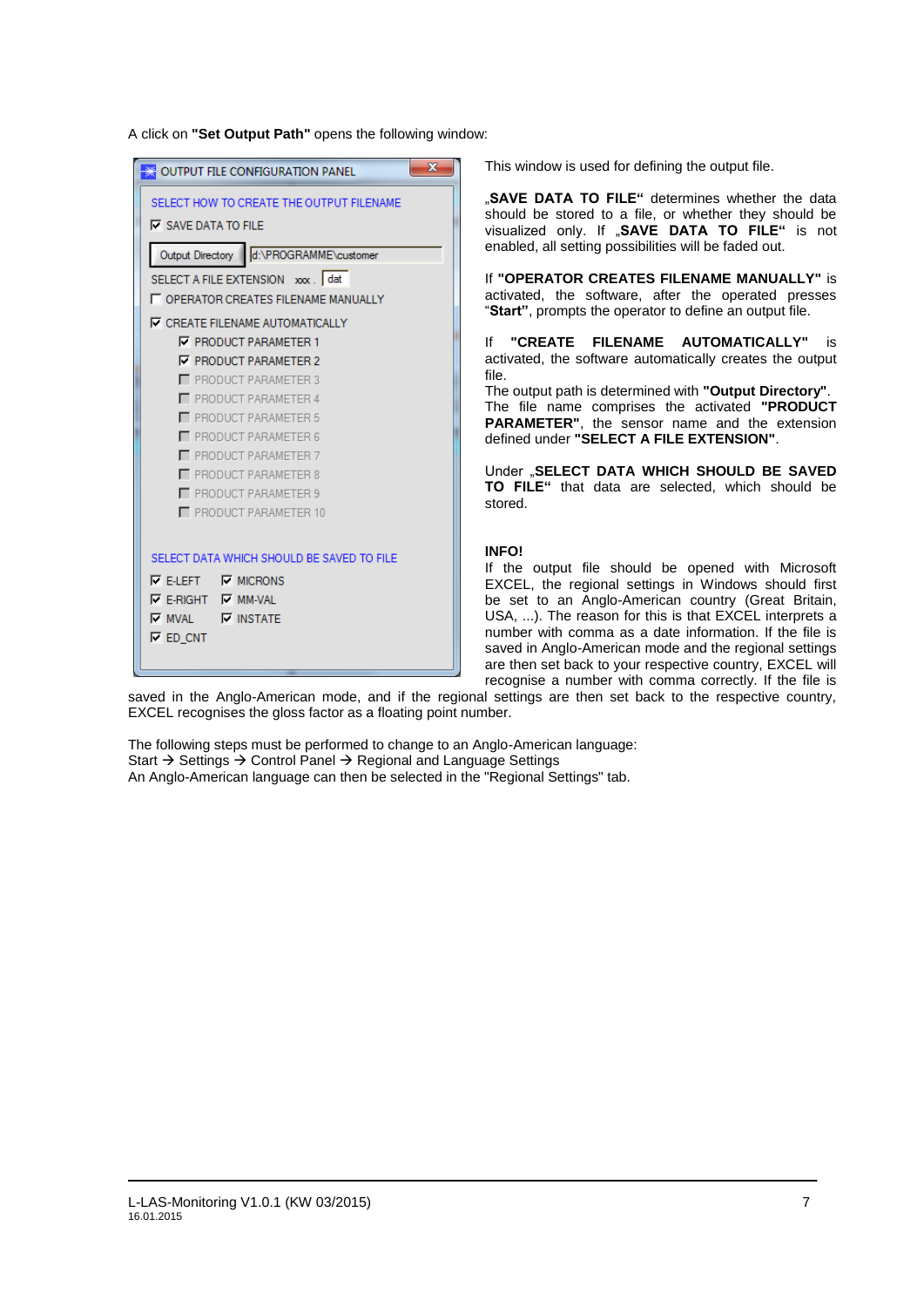A click on **"Set Output Path"** opens the following window:

| <b>SECONTING THE CONFIGURATION PANEL</b>          | $\overline{\mathbf{x}}$ |  |  |  |  |
|---------------------------------------------------|-------------------------|--|--|--|--|
| SELECT HOW TO CREATE THE OUTPUT FILENAME          |                         |  |  |  |  |
| $\nabla$ SAVE DATA TO FILE                        |                         |  |  |  |  |
| Output Directory d:\PROGRAMME\customer            |                         |  |  |  |  |
| SELECT A FILE EXTENSION xxx dat                   |                         |  |  |  |  |
| <b>LE OPERATOR CREATES FILENAME MANUALLY</b>      |                         |  |  |  |  |
| <b>V CREATE FILENAME AUTOMATICALLY</b>            |                         |  |  |  |  |
| <b>V PRODUCT PARAMETER 1</b>                      |                         |  |  |  |  |
| <b>V PRODUCT PARAMETER 2</b>                      |                         |  |  |  |  |
| PRODUCT PARAMETER 3                               |                         |  |  |  |  |
| <b>F</b> PRODUCT PARAMETER 4                      |                         |  |  |  |  |
| PRODUCT PARAMETER 5<br><b>PRODUCT PARAMETER 6</b> |                         |  |  |  |  |
| PRODUCT PARAMETER 7                               |                         |  |  |  |  |
| <b>F</b> PRODUCT PARAMETER 8                      |                         |  |  |  |  |
| PRODUCT PARAMETER 9                               |                         |  |  |  |  |
| PRODUCT PARAMETER 10                              |                         |  |  |  |  |
|                                                   |                         |  |  |  |  |
| SELECT DATA WHICH SHOULD BE SAVED TO FILE         |                         |  |  |  |  |
| $\nabla$ E-I FFT $\nabla$ MICRONS                 |                         |  |  |  |  |
| $\nabla$ E-RIGHT $\nabla$ MM-VAL                  |                         |  |  |  |  |
| $\nabla$ MVAL $\nabla$ INSTATE                    |                         |  |  |  |  |
| $\nabla$ ED CNT                                   |                         |  |  |  |  |
|                                                   |                         |  |  |  |  |

This window is used for defining the output file.

"**SAVE DATA TO FILE"** determines whether the data should be stored to a file, or whether they should be visualized only. If "SAVE DATA TO FILE" is not enabled, all setting possibilities will be faded out.

If **"OPERATOR CREATES FILENAME MANUALLY"** is activated, the software, after the operated presses "**Start"**, prompts the operator to define an output file.

If **"CREATE FILENAME AUTOMATICALLY"** is activated, the software automatically creates the output file.

The output path is determined with **"Output Directory"**. The file name comprises the activated **"PRODUCT PARAMETER"**, the sensor name and the extension defined under **"SELECT A FILE EXTENSION"**.

Under "**SELECT DATA WHICH SHOULD BE SAVED TO FILE"** that data are selected, which should be stored.

#### **INFO!**

If the output file should be opened with Microsoft EXCEL, the regional settings in Windows should first be set to an Anglo-American country (Great Britain, USA, ...). The reason for this is that EXCEL interprets a number with comma as a date information. If the file is saved in Anglo-American mode and the regional settings are then set back to your respective country, EXCEL will recognise a number with comma correctly. If the file is

saved in the Anglo-American mode, and if the regional settings are then set back to the respective country, EXCEL recognises the gloss factor as a floating point number.

The following steps must be performed to change to an Anglo-American language: Start  $\rightarrow$  Settings  $\rightarrow$  Control Panel  $\rightarrow$  Regional and Language Settings An Anglo-American language can then be selected in the "Regional Settings" tab.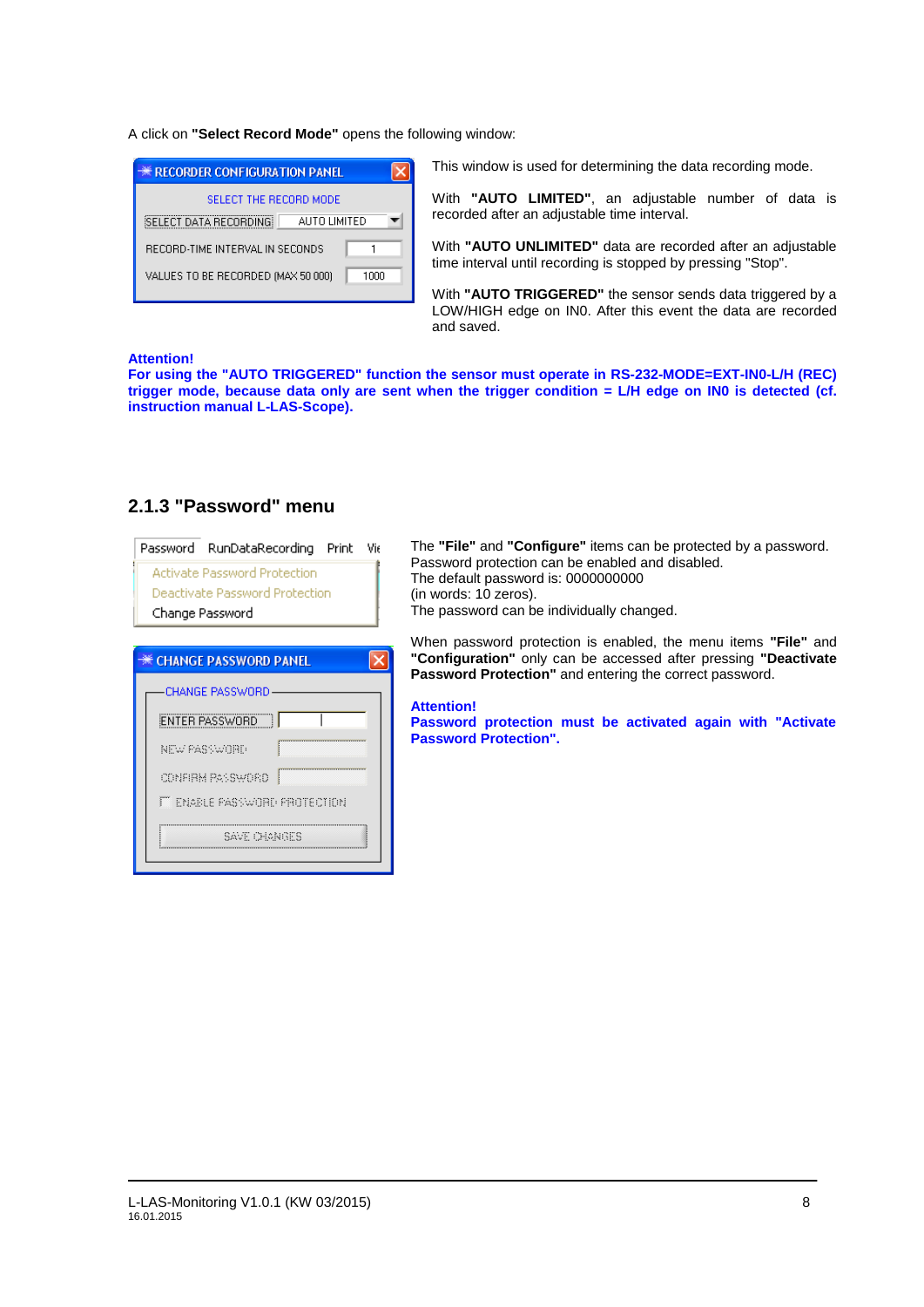A click on **"Select Record Mode"** opens the following window:

| <b>** RECORDER CONFIGURATION PANEL</b>     |  |
|--------------------------------------------|--|
| SELECT THE RECORD MODE                     |  |
| SELECT DATA RECORDING<br>AUTO LIMITED      |  |
| RECORD-TIME INTERVAL IN SECONDS            |  |
| VALUES TO BE RECORDED (MAX 50 000)<br>1000 |  |
|                                            |  |

This window is used for determining the data recording mode.

With **"AUTO LIMITED"**, an adjustable number of data is recorded after an adjustable time interval.

With **"AUTO UNLIMITED"** data are recorded after an adjustable time interval until recording is stopped by pressing "Stop".

With **"AUTO TRIGGERED"** the sensor sends data triggered by a LOW/HIGH edge on IN0. After this event the data are recorded and saved.

#### **Attention!**

**For using the "AUTO TRIGGERED" function the sensor must operate in RS-232-MODE=EXT-IN0-L/H (REC) trigger mode, because data only are sent when the trigger condition = L/H edge on IN0 is detected (cf. instruction manual L-LAS-Scope).**

| Password RunDataRecording<br>Print Vie<br><b>Activate Password Protection</b><br>Deactivate Password Protection<br>Change Password | The "File" and<br>Password prote<br>The default pas<br>(in words: 10 z6<br>The password |
|------------------------------------------------------------------------------------------------------------------------------------|-----------------------------------------------------------------------------------------|
| ☀ CHANGE PASSWORD PANEL                                                                                                            | When passwor<br>"Configuratior<br><b>Password Pro</b>                                   |
| <b>CHANGE PASSWORD</b><br>ENTER PASSWORD<br>NEW PASSWORD<br>CONFIRM PASSWORD<br><b>FT ENABLE PASSWORD PROTECTION</b>               | <b>Attention!</b><br><b>Password pro</b><br><b>Password Pro</b>                         |
| Save Orgniffs                                                                                                                      |                                                                                         |

### **2.1.3 "Password" menu**

"Configure" items can be protected by a password. ection can be enabled and disabled. ssword is: 0000000000 eros). can be individually changed.

rd protection is enabled, the menu items "File" and **"Configuration"** only can be accessed after pressing **"Deactivate**  tection" and entering the correct password.

**Password protection must be activated again with "Activate**  fection".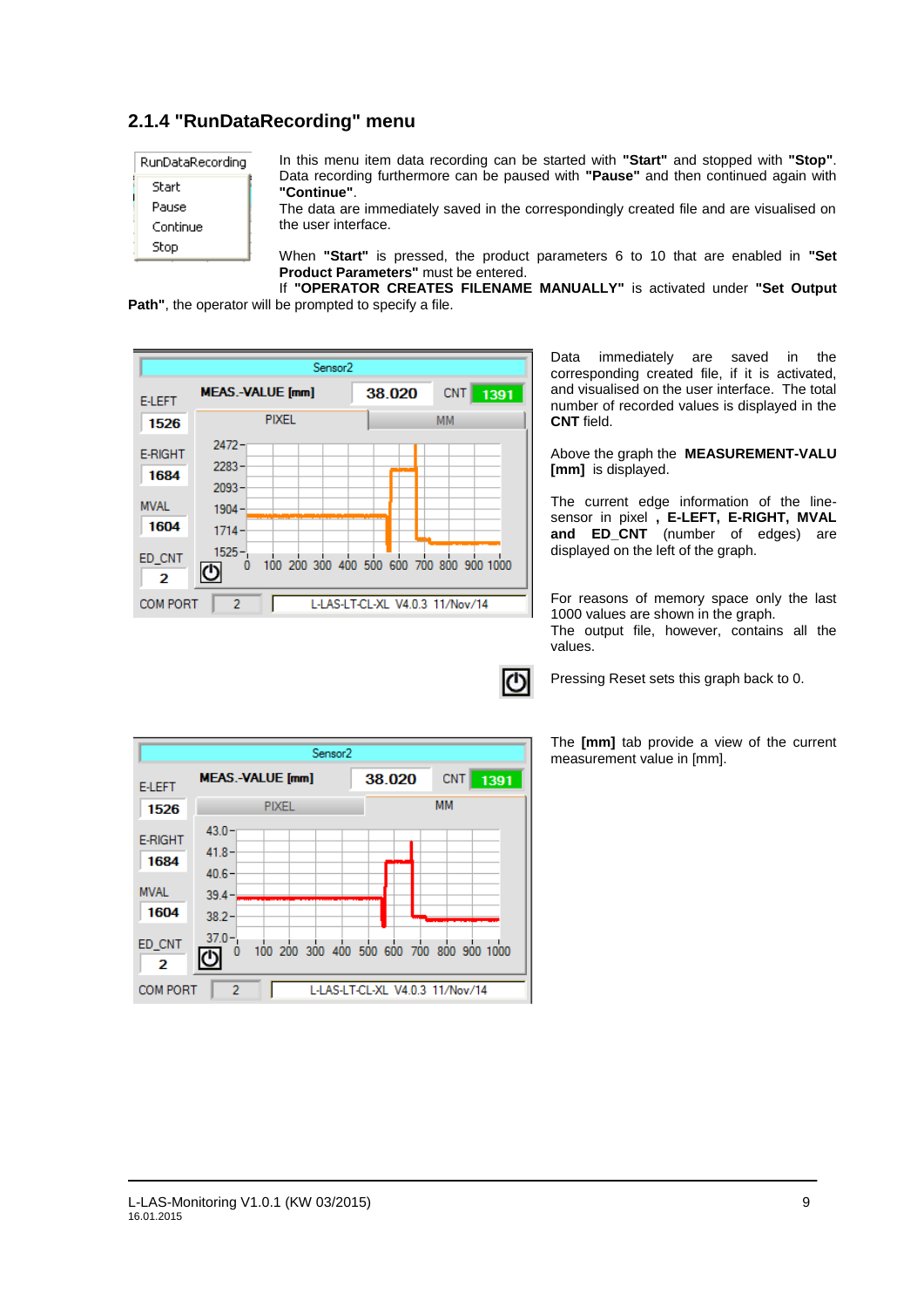## **2.1.4 "RunDataRecording" menu**

| RunDataRecording |
|------------------|
| Start            |
| Pause            |
| Continue         |
| Stop             |

In this menu item data recording can be started with **"Start"** and stopped with **"Stop"**. Data recording furthermore can be paused with **"Pause"** and then continued again with **"Continue"**.

The data are immediately saved in the correspondingly created file and are visualised on the user interface.

When **"Start"** is pressed, the product parameters 6 to 10 that are enabled in **"Set Product Parameters"** must be entered.

If **"OPERATOR CREATES FILENAME MANUALLY"** is activated under **"Set Output Path"**, the operator will be prompted to specify a file.



Data immediately are saved in the corresponding created file, if it is activated, and visualised on the user interface. The total number of recorded values is displayed in the **CNT** field.

Above the graph the **MEASUREMENT-VALU [mm]** is displayed.

The current edge information of the linesensor in pixel **, E-LEFT, E-RIGHT, MVAL and ED\_CNT** (number of edges) are displayed on the left of the graph.

For reasons of memory space only the last 1000 values are shown in the graph. The output file, however, contains all the values.

Pressing Reset sets this graph back to 0.

The **[mm]** tab provide a view of the current measurement value in [mm].

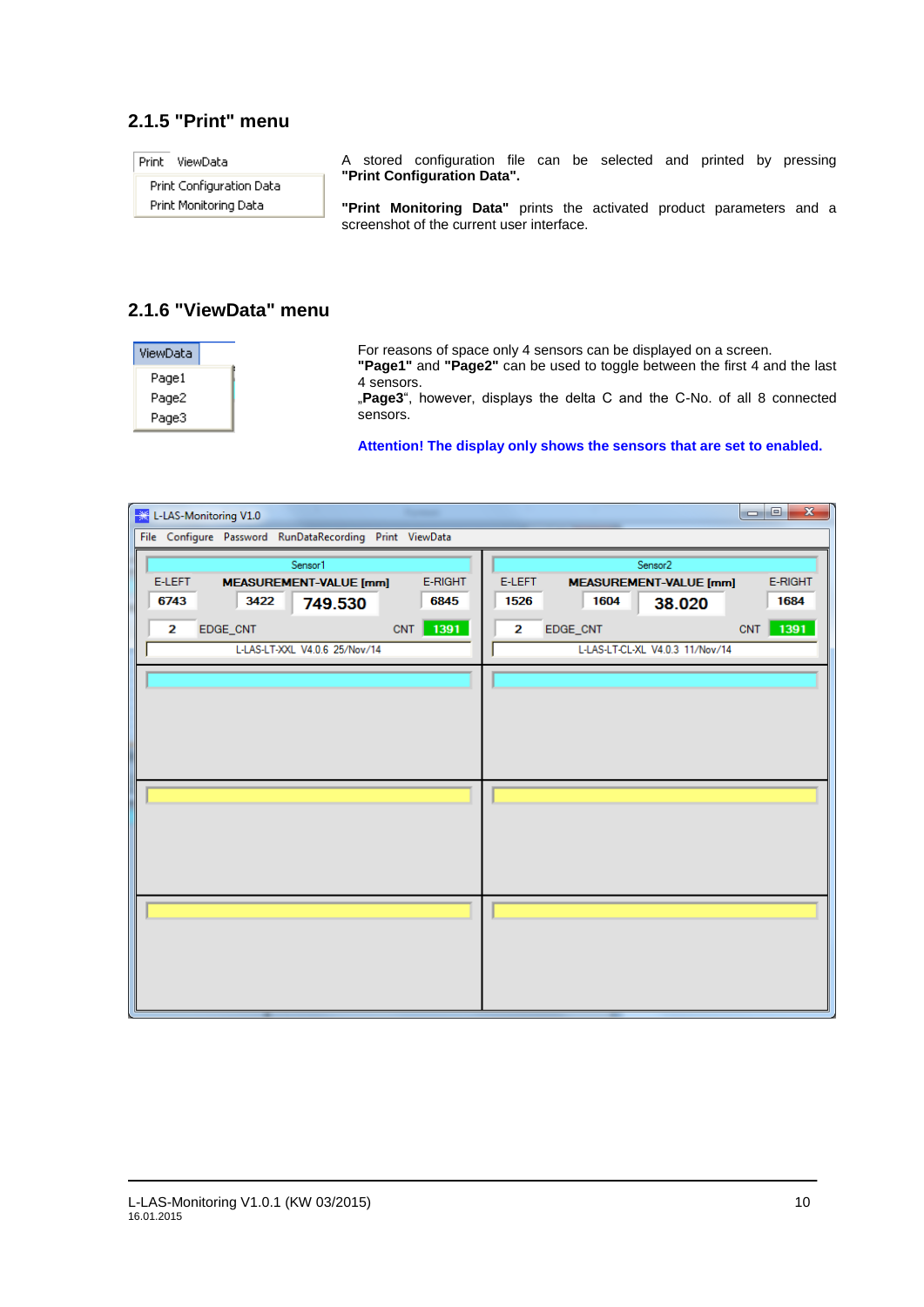## **2.1.5 "Print" menu**

| Print<br>ViewData                                 | A stored configuration file can be selected and printed by pressing                                  |  |  |  |  |
|---------------------------------------------------|------------------------------------------------------------------------------------------------------|--|--|--|--|
| Print Configuration Data<br>Print Monitoring Data | "Print Configuration Data".<br>"Print Monitoring Data" prints the activated product parameters and a |  |  |  |  |
|                                                   | screenshot of the current user interface.                                                            |  |  |  |  |

## **2.1.6 "ViewData" menu**

| ViewData |  |
|----------|--|
| Pagel    |  |
| Page2    |  |
| Page3    |  |

For reasons of space only 4 sensors can be displayed on a screen.

**"Page1"** and **"Page2"** can be used to toggle between the first 4 and the last 4 sensors.

"**Page3**", however, displays the delta C and the C-No. of all 8 connected sensors.

#### **Attention! The display only shows the sensors that are set to enabled.**

| 骤<br>L-LAS-Monitoring V1.0                              | $\overline{\mathbf{x}}$<br>$\Box$ e                |  |  |  |  |
|---------------------------------------------------------|----------------------------------------------------|--|--|--|--|
| File Configure Password RunDataRecording Print ViewData |                                                    |  |  |  |  |
| Sensor1                                                 | Sensor <sub>2</sub>                                |  |  |  |  |
| E-RIGHT<br>E-LEFT<br><b>MEASUREMENT-VALUE [mm]</b>      | E-LEFT<br>E-RIGHT<br><b>MEASUREMENT-VALUE [mm]</b> |  |  |  |  |
| 6743<br>3422<br>6845<br>749.530                         | 1526<br>1604<br>1684<br>38.020                     |  |  |  |  |
| CNT 1391<br>EDGE_CNT<br>2                               | 1391<br>CNT<br>2<br>EDGE_CNT                       |  |  |  |  |
| L-LAS-LT-XXL V4.0.6 25/Nov/14                           | L-LAS-LT-CL-XL V4.0.3 11/Nov/14                    |  |  |  |  |
|                                                         |                                                    |  |  |  |  |
|                                                         |                                                    |  |  |  |  |
|                                                         |                                                    |  |  |  |  |
|                                                         |                                                    |  |  |  |  |
|                                                         |                                                    |  |  |  |  |
|                                                         |                                                    |  |  |  |  |
|                                                         |                                                    |  |  |  |  |
|                                                         |                                                    |  |  |  |  |
|                                                         |                                                    |  |  |  |  |
|                                                         |                                                    |  |  |  |  |
|                                                         |                                                    |  |  |  |  |
|                                                         |                                                    |  |  |  |  |
|                                                         |                                                    |  |  |  |  |
|                                                         |                                                    |  |  |  |  |
|                                                         |                                                    |  |  |  |  |